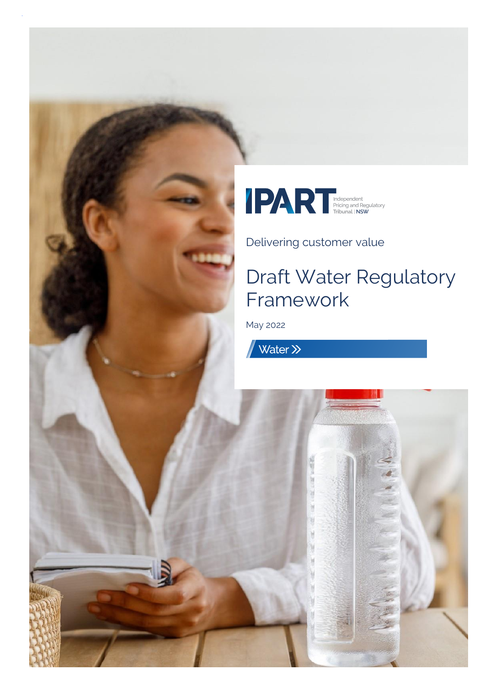

Delivering customer value

# Draft Water Regulatory Framework

May 2022

Water >>

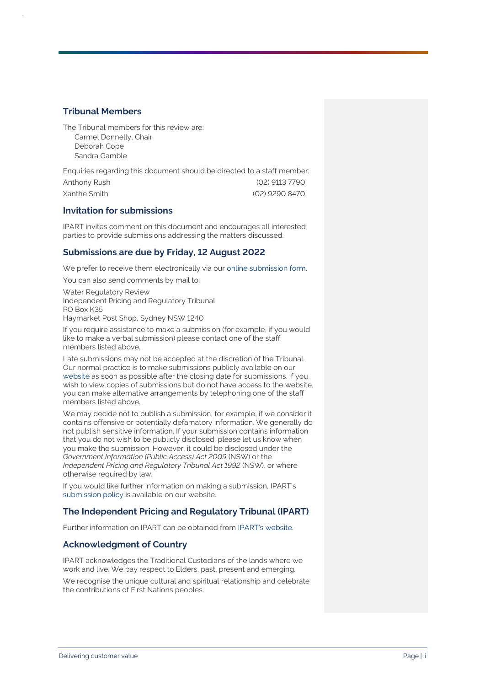#### **Tribunal Members**

The Tribunal members for this review are: Carmel Donnelly, Chair Deborah Cope Sandra Gamble

Enquiries regarding this document should be directed to a staff member: Anthony Rush (02) 9113 7790 Xanthe Smith (02) 9290 8470

#### **Invitation for submissions**

IPART invites comment on this document and encourages all interested parties to provide submissions addressing the matters discussed.

#### **Submissions are due by Friday, 12 August 2022**

We prefer to receive them electronically via ou[r online submission form.](https://www.ipart.nsw.gov.au/Home/Reviews/Have-Your-Say-Open-Consultations?review_status=911)

You can also send comments by mail to:

Water Regulatory Review Independent Pricing and Regulatory Tribunal PO Box K35 Haymarket Post Shop, Sydney NSW 1240

If you require assistance to make a submission (for example, if you would like to make a verbal submission) please contact one of the staff members listed above.

Late submissions may not be accepted at the discretion of the Tribunal. Our normal practice is to make submissions publicly available on our [website](http://www.ipart.nsw.gov.au/) as soon as possible after the closing date for submissions. If you wish to view copies of submissions but do not have access to the website, you can make alternative arrangements by telephoning one of the staff members listed above.

We may decide not to publish a submission, for example, if we consider it contains offensive or potentially defamatory information. We generally do not publish sensitive information. If your submission contains information that you do not wish to be publicly disclosed, please let us know when you make the submission. However, it could be disclosed under the *Government Information (Public Access) Act 2009* (NSW) or the *Independent Pricing and Regulatory Tribunal Act 1992* (NSW), or where otherwise required by law.

If you would like further information on making a submission, IPART's [submission policy](https://www.ipart.nsw.gov.au/submissions-policy) is available on our website.

#### **The Independent Pricing and Regulatory Tribunal (IPART)**

Further information on IPART can be obtained from [IPART's website.](https://www.ipart.nsw.gov.au/Home)

#### **Acknowledgment of Country**

IPART acknowledges the Traditional Custodians of the lands where we work and live. We pay respect to Elders, past, present and emerging.

We recognise the unique cultural and spiritual relationship and celebrate the contributions of First Nations peoples.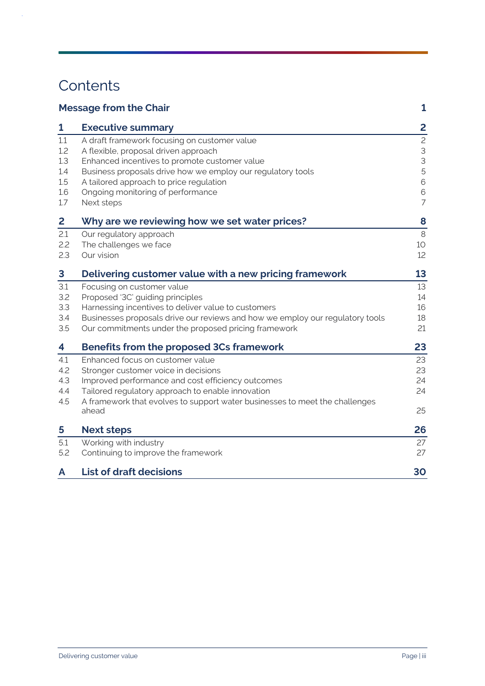# **Contents**

 $\hat{\boldsymbol{\beta}}$ 

| <b>Message from the Chair</b> |                                                                                      |                               |
|-------------------------------|--------------------------------------------------------------------------------------|-------------------------------|
| 1                             | <b>Executive summary</b>                                                             | 2                             |
| 1.1                           | A draft framework focusing on customer value                                         | $\mathbf{c}$                  |
| 1.2                           | A flexible, proposal driven approach                                                 | $\mathsf 3$                   |
| 1.3                           | Enhanced incentives to promote customer value                                        | 3                             |
| 1.4                           | Business proposals drive how we employ our regulatory tools                          | 5                             |
| 1.5                           | A tailored approach to price regulation                                              | 6                             |
| 1.6<br>1.7                    | Ongoing monitoring of performance                                                    | $\mathbf 6$<br>$\overline{7}$ |
|                               | Next steps                                                                           |                               |
| 2                             | Why are we reviewing how we set water prices?                                        | 8                             |
| 2.1                           | Our regulatory approach                                                              | 8                             |
| 2.2                           | The challenges we face                                                               | 10                            |
| 2.3                           | Our vision                                                                           | 12                            |
| 3                             | Delivering customer value with a new pricing framework                               | 13                            |
| 3.1                           | Focusing on customer value                                                           | 13                            |
| 3.2                           | Proposed '3C' guiding principles                                                     | 14                            |
| 3.3                           | Harnessing incentives to deliver value to customers                                  | 16                            |
| 3.4                           | Businesses proposals drive our reviews and how we employ our regulatory tools        | 18                            |
| 3.5                           | Our commitments under the proposed pricing framework                                 | 21                            |
| 4                             | Benefits from the proposed 3Cs framework                                             | 23                            |
| 4.1                           | Enhanced focus on customer value                                                     | 23                            |
| 4.2                           | Stronger customer voice in decisions                                                 | 23                            |
| 4.3                           | Improved performance and cost efficiency outcomes                                    | 24                            |
| 4.4                           | Tailored regulatory approach to enable innovation                                    | 24                            |
| 4.5                           | A framework that evolves to support water businesses to meet the challenges<br>ahead | 25                            |
|                               |                                                                                      |                               |
| 5                             | <b>Next steps</b>                                                                    | 26                            |
| 5.1                           | Working with industry                                                                | 27                            |
| 5.2                           | Continuing to improve the framework                                                  | 27                            |
| A                             | <b>List of draft decisions</b>                                                       | 30                            |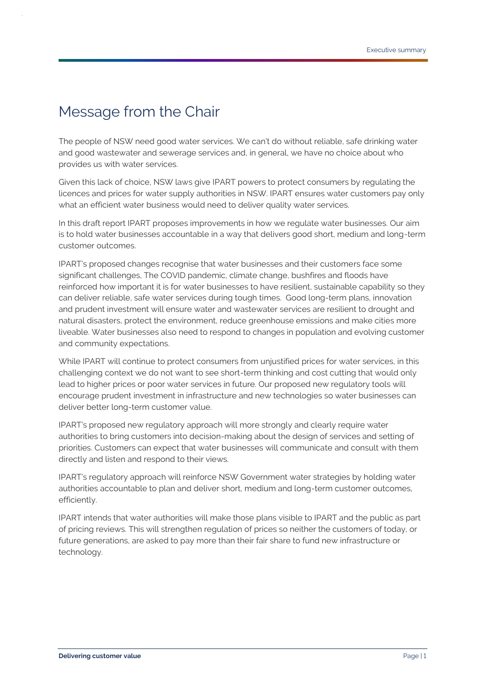# <span id="page-3-0"></span>Message from the Chair

The people of NSW need good water services. We can't do without reliable, safe drinking water and good wastewater and sewerage services and, in general, we have no choice about who provides us with water services.

Given this lack of choice, NSW laws give IPART powers to protect consumers by regulating the licences and prices for water supply authorities in NSW. IPART ensures water customers pay only what an efficient water business would need to deliver quality water services.

In this draft report IPART proposes improvements in how we regulate water businesses. Our aim is to hold water businesses accountable in a way that delivers good short, medium and long-term customer outcomes.

IPART's proposed changes recognise that water businesses and their customers face some significant challenges, The COVID pandemic, climate change, bushfires and floods have reinforced how important it is for water businesses to have resilient, sustainable capability so they can deliver reliable, safe water services during tough times. Good long-term plans, innovation and prudent investment will ensure water and wastewater services are resilient to drought and natural disasters, protect the environment, reduce greenhouse emissions and make cities more liveable. Water businesses also need to respond to changes in population and evolving customer and community expectations.

While IPART will continue to protect consumers from unjustified prices for water services, in this challenging context we do not want to see short-term thinking and cost cutting that would only lead to higher prices or poor water services in future. Our proposed new regulatory tools will encourage prudent investment in infrastructure and new technologies so water businesses can deliver better long-term customer value.

IPART's proposed new regulatory approach will more strongly and clearly require water authorities to bring customers into decision-making about the design of services and setting of priorities. Customers can expect that water businesses will communicate and consult with them directly and listen and respond to their views.

IPART's regulatory approach will reinforce NSW Government water strategies by holding water authorities accountable to plan and deliver short, medium and long-term customer outcomes, efficiently.

IPART intends that water authorities will make those plans visible to IPART and the public as part of pricing reviews. This will strengthen regulation of prices so neither the customers of today, or future generations, are asked to pay more than their fair share to fund new infrastructure or technology.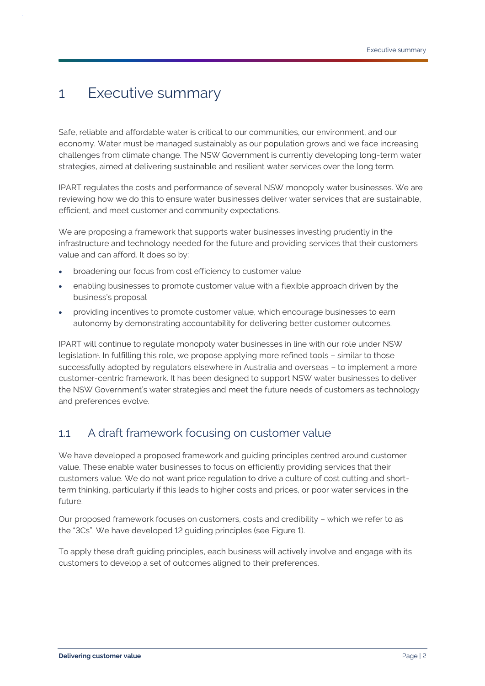# <span id="page-4-0"></span>1 Executive summary

Safe, reliable and affordable water is critical to our communities, our environment, and our economy. Water must be managed sustainably as our population grows and we face increasing challenges from climate change. The NSW Government is currently developing long-term water strategies, aimed at delivering sustainable and resilient water services over the long term.

IPART regulates the costs and performance of several NSW monopoly water businesses. We are reviewing how we do this to ensure water businesses deliver water services that are sustainable, efficient, and meet customer and community expectations.

We are proposing a framework that supports water businesses investing prudently in the infrastructure and technology needed for the future and providing services that their customers value and can afford. It does so by:

- broadening our focus from cost efficiency to customer value
- enabling businesses to promote customer value with a flexible approach driven by the business's proposal
- providing incentives to promote customer value, which encourage businesses to earn autonomy by demonstrating accountability for delivering better customer outcomes.

IPART will continue to regulate monopoly water businesses in line with our role under NSW legislation<sup>1</sup>. In fulfilling this role, we propose applying more refined tools - similar to those successfully adopted by regulators elsewhere in Australia and overseas – to implement a more customer-centric framework. It has been designed to support NSW water businesses to deliver the NSW Government's water strategies and meet the future needs of customers as technology and preferences evolve.

# <span id="page-4-1"></span>1.1 A draft framework focusing on customer value

We have developed a proposed framework and guiding principles centred around customer value. These enable water businesses to focus on efficiently providing services that their customers value. We do not want price regulation to drive a culture of cost cutting and shortterm thinking, particularly if this leads to higher costs and prices, or poor water services in the future.

Our proposed framework focuses on customers, costs and credibility – which we refer to as the "3Cs". We have developed 12 guiding principles (see Figure 1).

To apply these draft guiding principles, each business will actively involve and engage with its customers to develop a set of outcomes aligned to their preferences.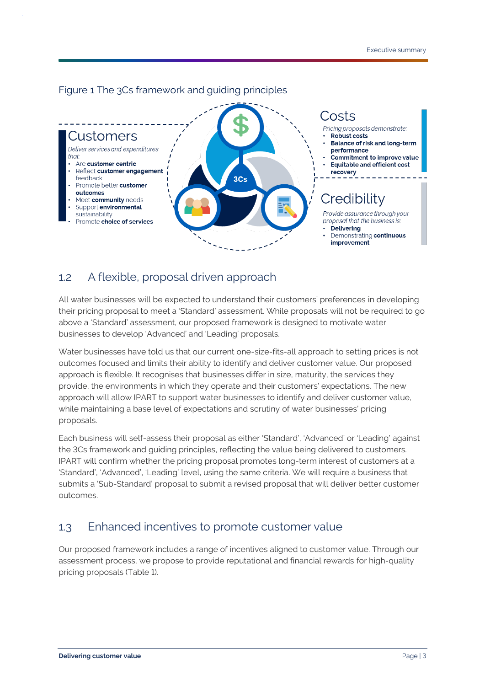

#### Figure 1 The 3Cs framework and guiding principles

### <span id="page-5-0"></span>1.2 A flexible, proposal driven approach

All water businesses will be expected to understand their customers' preferences in developing their pricing proposal to meet a 'Standard' assessment. While proposals will not be required to go above a 'Standard' assessment, our proposed framework is designed to motivate water businesses to develop 'Advanced' and 'Leading' proposals.

Water businesses have told us that our current one-size-fits-all approach to setting prices is not outcomes focused and limits their ability to identify and deliver customer value. Our proposed approach is flexible. It recognises that businesses differ in size, maturity, the services they provide, the environments in which they operate and their customers' expectations. The new approach will allow IPART to support water businesses to identify and deliver customer value, while maintaining a base level of expectations and scrutiny of water businesses' pricing proposals.

Each business will self-assess their proposal as either 'Standard', 'Advanced' or 'Leading' against the 3Cs framework and guiding principles, reflecting the value being delivered to customers. IPART will confirm whether the pricing proposal promotes long-term interest of customers at a 'Standard', 'Advanced', 'Leading' level, using the same criteria. We will require a business that submits a 'Sub-Standard' proposal to submit a revised proposal that will deliver better customer outcomes.

# <span id="page-5-1"></span>1.3 Enhanced incentives to promote customer value

Our proposed framework includes a range of incentives aligned to customer value. Through our assessment process, we propose to provide reputational and financial rewards for high-quality pricing proposals (Table 1).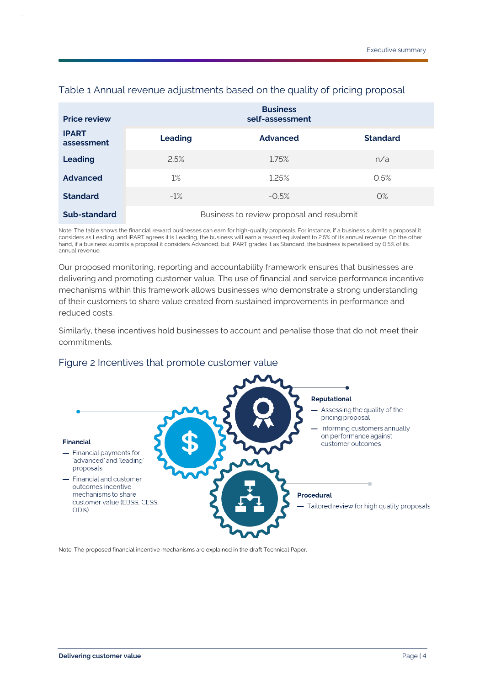| <b>Price review</b>        |                | <b>Business</b><br>self-assessment       |                 |
|----------------------------|----------------|------------------------------------------|-----------------|
| <b>IPART</b><br>assessment | <b>Leading</b> | <b>Advanced</b>                          | <b>Standard</b> |
| Leading                    | 2.5%           | 1.75%                                    | n/a             |
| <b>Advanced</b>            | 1%             | 1.25%                                    | 0.5%            |
| <b>Standard</b>            | $-1\%$         | $-0.5%$                                  | $O\%$           |
| Sub-standard               |                | Business to review proposal and resubmit |                 |

#### Table 1 Annual revenue adjustments based on the quality of pricing proposal

Note: The table shows the financial reward businesses can earn for high-quality proposals. For instance, if a business submits a proposal it considers as Leading, and IPART agrees it is Leading, the business will earn a reward equivalent to 2.5% of its annual revenue. On the other hand, if a business submits a proposal it considers Advanced, but IPART grades it as Standard, the business is penalised by 0.5% of its annual revenue.

Our proposed monitoring, reporting and accountability framework ensures that businesses are delivering and promoting customer value. The use of financial and service performance incentive mechanisms within this framework allows businesses who demonstrate a strong understanding of their customers to share value created from sustained improvements in performance and reduced costs.

Similarly, these incentives hold businesses to account and penalise those that do not meet their commitments.

#### Figure 2 Incentives that promote customer value



Note: The proposed financial incentive mechanisms are explained in the draft Technical Paper.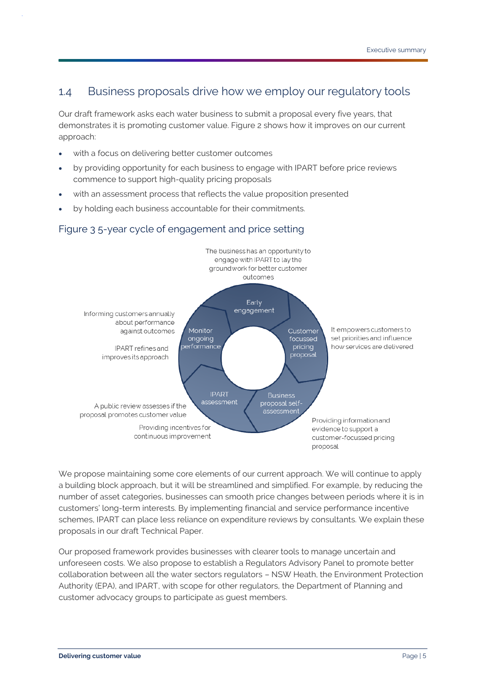# <span id="page-7-0"></span>1.4 Business proposals drive how we employ our regulatory tools

Our draft framework asks each water business to submit a proposal every five years, that demonstrates it is promoting customer value. Figure 2 shows how it improves on our current approach:

- with a focus on delivering better customer outcomes
- by providing opportunity for each business to engage with IPART before price reviews commence to support high-quality pricing proposals
- with an assessment process that reflects the value proposition presented
- by holding each business accountable for their commitments.

#### Figure 3 5-year cycle of engagement and price setting



We propose maintaining some core elements of our current approach. We will continue to apply a building block approach, but it will be streamlined and simplified. For example, by reducing the number of asset categories, businesses can smooth price changes between periods where it is in customers' long-term interests. By implementing financial and service performance incentive schemes, IPART can place less reliance on expenditure reviews by consultants. We explain these proposals in our draft Technical Paper.

Our proposed framework provides businesses with clearer tools to manage uncertain and unforeseen costs. We also propose to establish a Regulators Advisory Panel to promote better collaboration between all the water sectors regulators – NSW Heath, the Environment Protection Authority (EPA), and IPART, with scope for other regulators, the Department of Planning and customer advocacy groups to participate as guest members.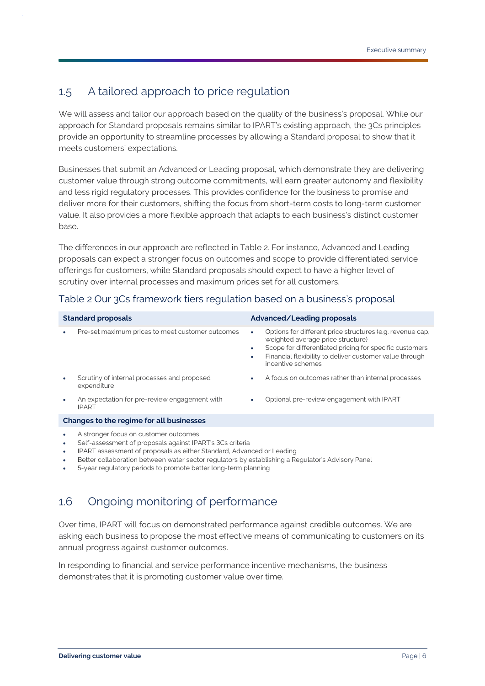# <span id="page-8-0"></span>1.5 A tailored approach to price regulation

We will assess and tailor our approach based on the quality of the business's proposal. While our approach for Standard proposals remains similar to IPART's existing approach, the 3Cs principles provide an opportunity to streamline processes by allowing a Standard proposal to show that it meets customers' expectations.

Businesses that submit an Advanced or Leading proposal, which demonstrate they are delivering customer value through strong outcome commitments, will earn greater autonomy and flexibility, and less rigid regulatory processes. This provides confidence for the business to promise and deliver more for their customers, shifting the focus from short-term costs to long-term customer value. It also provides a more flexible approach that adapts to each business's distinct customer base.

The differences in our approach are reflected in Table 2. For instance, Advanced and Leading proposals can expect a stronger focus on outcomes and scope to provide differentiated service offerings for customers, while Standard proposals should expect to have a higher level of scrutiny over internal processes and maximum prices set for all customers.

| <b>Standard proposals</b> |                                                               | Advanced/Leading proposals |                                                                                                                                                                                                                                           |
|---------------------------|---------------------------------------------------------------|----------------------------|-------------------------------------------------------------------------------------------------------------------------------------------------------------------------------------------------------------------------------------------|
|                           | Pre-set maximum prices to meet customer outcomes              | $\bullet$<br>٠             | Options for different price structures (e.g. revenue cap,<br>weighted average price structure)<br>Scope for differentiated pricing for specific customers<br>Financial flexibility to deliver customer value through<br>incentive schemes |
|                           | Scrutiny of internal processes and proposed<br>expenditure    | $\bullet$                  | A focus on outcomes rather than internal processes                                                                                                                                                                                        |
|                           | An expectation for pre-review engagement with<br><b>IPART</b> |                            | Optional pre-review engagement with IPART                                                                                                                                                                                                 |
|                           | Changes to the regime for all businesses                      |                            |                                                                                                                                                                                                                                           |
|                           | A stronger focus on customer outcomes                         |                            |                                                                                                                                                                                                                                           |

#### Table 2 Our 3Cs framework tiers regulation based on a business's proposal

- Self-assessment of proposals against IPART's 3Cs criteria
- IPART assessment of proposals as either Standard, Advanced or Leading
- Better collaboration between water sector regulators by establishing a Regulator's Advisory Panel
- <span id="page-8-1"></span>• 5-year regulatory periods to promote better long-term planning

# 1.6 Ongoing monitoring of performance

Over time, IPART will focus on demonstrated performance against credible outcomes. We are asking each business to propose the most effective means of communicating to customers on its annual progress against customer outcomes.

In responding to financial and service performance incentive mechanisms, the business demonstrates that it is promoting customer value over time.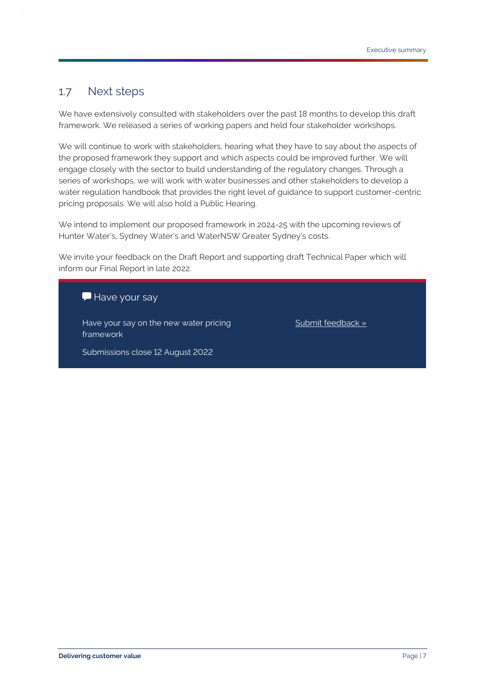### <span id="page-9-0"></span>1.7 Next steps

We have extensively consulted with stakeholders over the past 18 months to develop this draft framework. We released a series of working papers and held four stakeholder workshops.

We will continue to work with stakeholders, hearing what they have to say about the aspects of the proposed framework they support and which aspects could be improved further. We will engage closely with the sector to build understanding of the regulatory changes. Through a series of workshops, we will work with water businesses and other stakeholders to develop a water regulation handbook that provides the right level of guidance to support customer-centric pricing proposals. We will also hold a Public Hearing.

We intend to implement our proposed framework in 2024-25 with the upcoming reviews of Hunter Water's, Sydney Water's and WaterNSW Greater Sydney's costs.

We invite your feedback on the Draft Report and supporting draft Technical Paper which will inform our Final Report in late 2022.

Have your say

Have your say on the new water pricing framework

[Submit feedback »](https://www.ipart.nsw.gov.au/Home/Reviews/Have-Your-Say-Open-Consultations?review_status=911)

Submissions close 12 August 2022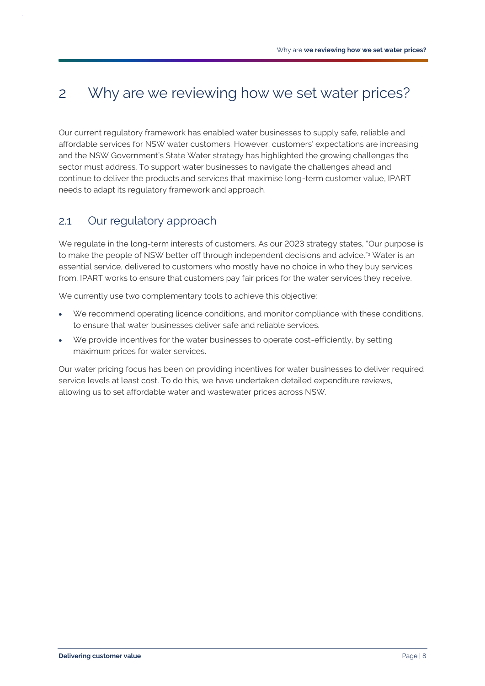# <span id="page-10-0"></span>2 Why are we reviewing how we set water prices?

Our current regulatory framework has enabled water businesses to supply safe, reliable and affordable services for NSW water customers. However, customers' expectations are increasing and the NSW Government's State Water strategy has highlighted the growing challenges the sector must address. To support water businesses to navigate the challenges ahead and continue to deliver the products and services that maximise long-term customer value, IPART needs to adapt its regulatory framework and approach.

# <span id="page-10-1"></span>2.1 Our regulatory approach

We regulate in the long-term interests of customers. As our 2023 strategy states, "Our purpose is to make the people of NSW better off through independent decisions and advice."<sup>2</sup> Water is an essential service, delivered to customers who mostly have no choice in who they buy services from. IPART works to ensure that customers pay fair prices for the water services they receive.

We currently use two complementary tools to achieve this objective:

- We recommend operating licence conditions, and monitor compliance with these conditions, to ensure that water businesses deliver safe and reliable services.
- We provide incentives for the water businesses to operate cost-efficiently, by setting maximum prices for water services.

Our water pricing focus has been on providing incentives for water businesses to deliver required service levels at least cost. To do this, we have undertaken detailed expenditure reviews, allowing us to set affordable water and wastewater prices across NSW.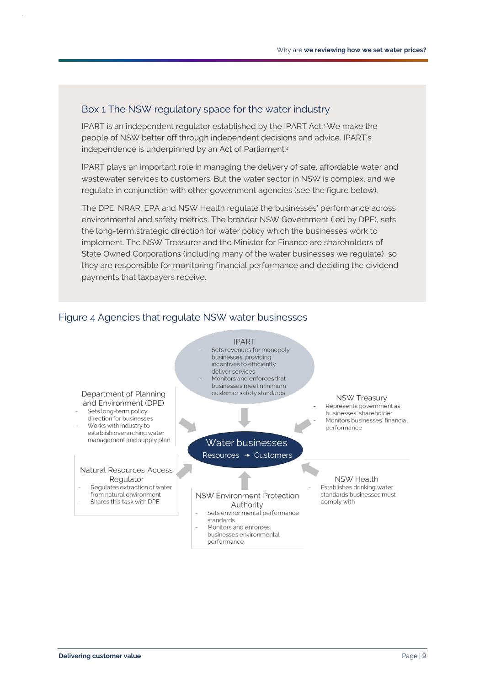#### Box 1 The NSW regulatory space for the water industry

IPART is an independent regulator established by the IPART Act.3We make the people of NSW better off through independent decisions and advice. IPART's independence is underpinned by an Act of Parliament.<sup>4</sup>

IPART plays an important role in managing the delivery of safe, affordable water and wastewater services to customers. But the water sector in NSW is complex, and we regulate in conjunction with other government agencies (see the figure below).

The DPE, NRAR, EPA and NSW Health regulate the businesses' performance across environmental and safety metrics. The broader NSW Government (led by DPE), sets the long-term strategic direction for water policy which the businesses work to implement. The NSW Treasurer and the Minister for Finance are shareholders of State Owned Corporations (including many of the water businesses we regulate), so they are responsible for monitoring financial performance and deciding the dividend payments that taxpayers receive.

#### Figure 4 Agencies that regulate NSW water businesses



standards

performance

Monitors and enforces businesses environmental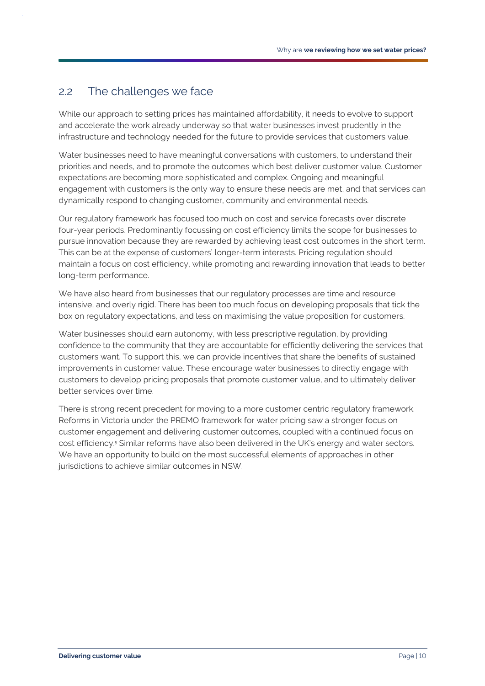### <span id="page-12-0"></span>2.2 The challenges we face

While our approach to setting prices has maintained affordability, it needs to evolve to support and accelerate the work already underway so that water businesses invest prudently in the infrastructure and technology needed for the future to provide services that customers value.

Water businesses need to have meaningful conversations with customers, to understand their priorities and needs, and to promote the outcomes which best deliver customer value. Customer expectations are becoming more sophisticated and complex. Ongoing and meaningful engagement with customers is the only way to ensure these needs are met, and that services can dynamically respond to changing customer, community and environmental needs.

Our regulatory framework has focused too much on cost and service forecasts over discrete four-year periods. Predominantly focussing on cost efficiency limits the scope for businesses to pursue innovation because they are rewarded by achieving least cost outcomes in the short term. This can be at the expense of customers' longer-term interests. Pricing regulation should maintain a focus on cost efficiency, while promoting and rewarding innovation that leads to better long-term performance.

We have also heard from businesses that our regulatory processes are time and resource intensive, and overly rigid. There has been too much focus on developing proposals that tick the box on regulatory expectations, and less on maximising the value proposition for customers.

Water businesses should earn autonomy, with less prescriptive regulation, by providing confidence to the community that they are accountable for efficiently delivering the services that customers want. To support this, we can provide incentives that share the benefits of sustained improvements in customer value. These encourage water businesses to directly engage with customers to develop pricing proposals that promote customer value, and to ultimately deliver better services over time.

There is strong recent precedent for moving to a more customer centric regulatory framework. Reforms in Victoria under the PREMO framework for water pricing saw a stronger focus on customer engagement and delivering customer outcomes, coupled with a continued focus on cost efficiency.<sup>5</sup> Similar reforms have also been delivered in the UK's energy and water sectors. We have an opportunity to build on the most successful elements of approaches in other jurisdictions to achieve similar outcomes in NSW.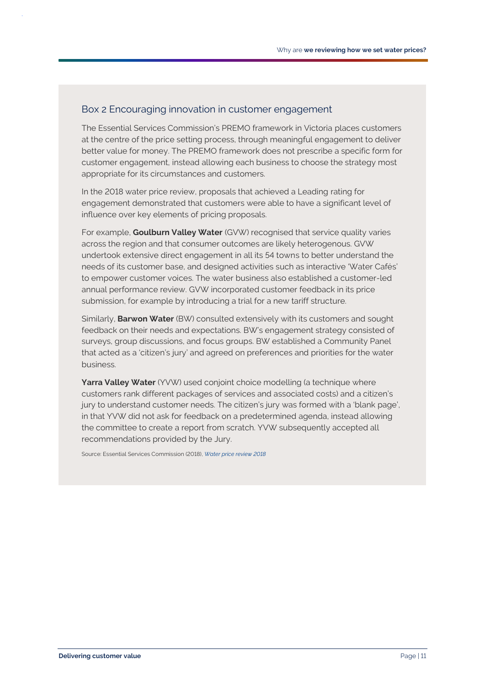#### Box 2 Encouraging innovation in customer engagement

The Essential Services Commission's PREMO framework in Victoria places customers at the centre of the price setting process, through meaningful engagement to deliver better value for money. The PREMO framework does not prescribe a specific form for customer engagement, instead allowing each business to choose the strategy most appropriate for its circumstances and customers.

In the 2018 water price review, proposals that achieved a Leading rating for engagement demonstrated that customers were able to have a significant level of influence over key elements of pricing proposals.

For example, **Goulburn Valley Water** (GVW) recognised that service quality varies across the region and that consumer outcomes are likely heterogenous. GVW undertook extensive direct engagement in all its 54 towns to better understand the needs of its customer base, and designed activities such as interactive 'Water Cafés' to empower customer voices. The water business also established a customer-led annual performance review. GVW incorporated customer feedback in its price submission, for example by introducing a trial for a new tariff structure.

Similarly, **Barwon Water** (BW) consulted extensively with its customers and sought feedback on their needs and expectations. BW's engagement strategy consisted of surveys, group discussions, and focus groups. BW established a Community Panel that acted as a 'citizen's jury' and agreed on preferences and priorities for the water business.

**Yarra Valley Water** (YVW) used conjoint choice modelling (a technique where customers rank different packages of services and associated costs) and a citizen's jury to understand customer needs. The citizen's jury was formed with a 'blank page', in that YVW did not ask for feedback on a predetermined agenda, instead allowing the committee to create a report from scratch. YVW subsequently accepted all recommendations provided by the Jury.

Source: Essential Services Commission (2018), *[Water price review 2018](https://www.esc.vic.gov.au/water/water-prices-tariffs-and-special-drainage/water-price-reviews/water-price-review-2018#tabs-container2)*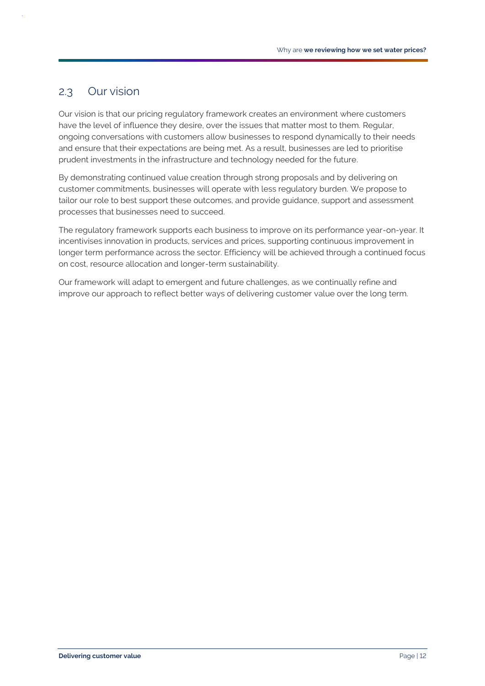# <span id="page-14-0"></span>2.3 Our vision

Our vision is that our pricing regulatory framework creates an environment where customers have the level of influence they desire, over the issues that matter most to them. Regular, ongoing conversations with customers allow businesses to respond dynamically to their needs and ensure that their expectations are being met. As a result, businesses are led to prioritise prudent investments in the infrastructure and technology needed for the future.

By demonstrating continued value creation through strong proposals and by delivering on customer commitments, businesses will operate with less regulatory burden. We propose to tailor our role to best support these outcomes, and provide guidance, support and assessment processes that businesses need to succeed.

The regulatory framework supports each business to improve on its performance year-on-year. It incentivises innovation in products, services and prices, supporting continuous improvement in longer term performance across the sector. Efficiency will be achieved through a continued focus on cost, resource allocation and longer-term sustainability.

Our framework will adapt to emergent and future challenges, as we continually refine and improve our approach to reflect better ways of delivering customer value over the long term.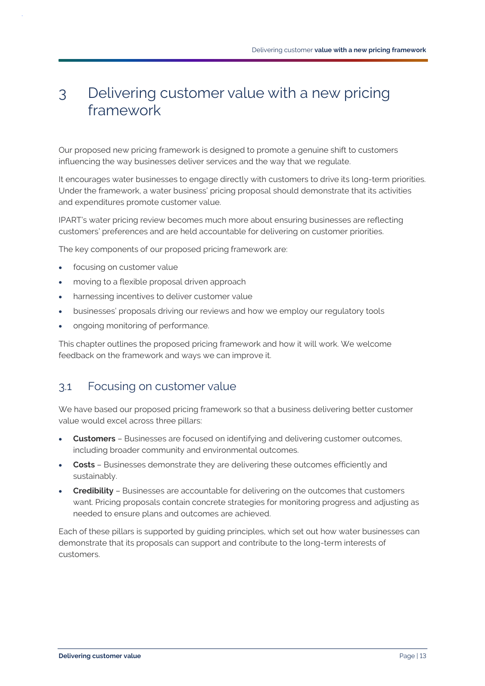# <span id="page-15-0"></span>3 Delivering customer value with a new pricing framework

Our proposed new pricing framework is designed to promote a genuine shift to customers influencing the way businesses deliver services and the way that we regulate.

It encourages water businesses to engage directly with customers to drive its long-term priorities. Under the framework, a water business' pricing proposal should demonstrate that its activities and expenditures promote customer value.

IPART's water pricing review becomes much more about ensuring businesses are reflecting customers' preferences and are held accountable for delivering on customer priorities.

The key components of our proposed pricing framework are:

- focusing on customer value
- moving to a flexible proposal driven approach
- harnessing incentives to deliver customer value
- businesses' proposals driving our reviews and how we employ our regulatory tools
- ongoing monitoring of performance.

This chapter outlines the proposed pricing framework and how it will work. We welcome feedback on the framework and ways we can improve it.

# <span id="page-15-1"></span>3.1 Focusing on customer value

We have based our proposed pricing framework so that a business delivering better customer value would excel across three pillars:

- **Customers** Businesses are focused on identifying and delivering customer outcomes, including broader community and environmental outcomes.
- **Costs** Businesses demonstrate they are delivering these outcomes efficiently and sustainably.
- **Credibility** Businesses are accountable for delivering on the outcomes that customers want. Pricing proposals contain concrete strategies for monitoring progress and adjusting as needed to ensure plans and outcomes are achieved.

Each of these pillars is supported by guiding principles, which set out how water businesses can demonstrate that its proposals can support and contribute to the long-term interests of customers.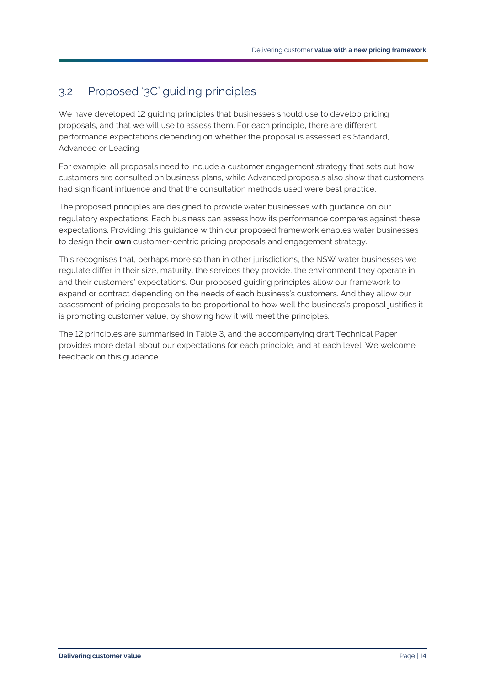# <span id="page-16-0"></span>3.2 Proposed '3C' guiding principles

We have developed 12 guiding principles that businesses should use to develop pricing proposals, and that we will use to assess them. For each principle, there are different performance expectations depending on whether the proposal is assessed as Standard, Advanced or Leading.

For example, all proposals need to include a customer engagement strategy that sets out how customers are consulted on business plans, while Advanced proposals also show that customers had significant influence and that the consultation methods used were best practice.

The proposed principles are designed to provide water businesses with guidance on our regulatory expectations. Each business can assess how its performance compares against these expectations. Providing this guidance within our proposed framework enables water businesses to design their **own** customer-centric pricing proposals and engagement strategy.

This recognises that, perhaps more so than in other jurisdictions, the NSW water businesses we regulate differ in their size, maturity, the services they provide, the environment they operate in, and their customers' expectations. Our proposed guiding principles allow our framework to expand or contract depending on the needs of each business's customers. And they allow our assessment of pricing proposals to be proportional to how well the business's proposal justifies it is promoting customer value, by showing how it will meet the principles.

The 12 principles are summarised in [Table 3,](#page-17-0) and the accompanying draft Technical Paper provides more detail about our expectations for each principle, and at each level. We welcome feedback on this guidance.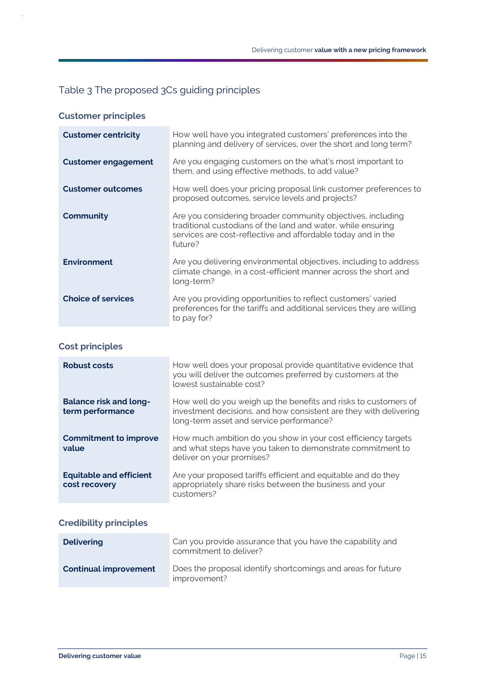# <span id="page-17-0"></span>Table 3 The proposed 3Cs guiding principles

**Customer principles**

| <b>Customer centricity</b> | How well have you integrated customers' preferences into the<br>planning and delivery of services, over the short and long term?                                                                       |
|----------------------------|--------------------------------------------------------------------------------------------------------------------------------------------------------------------------------------------------------|
| <b>Customer engagement</b> | Are you engaging customers on the what's most important to<br>them, and using effective methods, to add value?                                                                                         |
| <b>Customer outcomes</b>   | How well does your pricing proposal link customer preferences to<br>proposed outcomes, service levels and projects?                                                                                    |
| <b>Community</b>           | Are you considering broader community objectives, including<br>traditional custodians of the land and water, while ensuring<br>services are cost-reflective and affordable today and in the<br>future? |
| <b>Environment</b>         | Are you delivering environmental objectives, including to address<br>climate change, in a cost-efficient manner across the short and<br>long-term?                                                     |
| <b>Choice of services</b>  | Are you providing opportunities to reflect customers' varied<br>preferences for the tariffs and additional services they are willing<br>to pay for?                                                    |

### **Cost principles**

| <b>Robust costs</b>                               | How well does your proposal provide quantitative evidence that<br>you will deliver the outcomes preferred by customers at the<br>lowest sustainable cost?                        |
|---------------------------------------------------|----------------------------------------------------------------------------------------------------------------------------------------------------------------------------------|
| <b>Balance risk and long-</b><br>term performance | How well do you weigh up the benefits and risks to customers of<br>investment decisions, and how consistent are they with delivering<br>long-term asset and service performance? |
| <b>Commitment to improve</b><br>value             | How much ambition do you show in your cost efficiency targets<br>and what steps have you taken to demonstrate commitment to<br>deliver on your promises?                         |
| <b>Equitable and efficient</b><br>cost recovery   | Are your proposed tariffs efficient and equitable and do they<br>appropriately share risks between the business and your<br>customers?                                           |

### **Credibility principles**

| <b>Delivering</b>            | Can you provide assurance that you have the capability and<br>commitment to deliver? |
|------------------------------|--------------------------------------------------------------------------------------|
| <b>Continual improvement</b> | Does the proposal identify shortcomings and areas for future<br>improvement?         |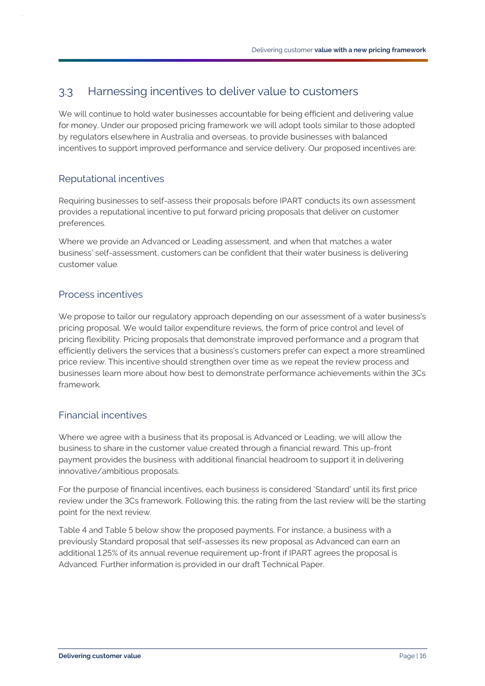# <span id="page-18-0"></span>3.3 Harnessing incentives to deliver value to customers

We will continue to hold water businesses accountable for being efficient and delivering value for money. Under our proposed pricing framework we will adopt tools similar to those adopted by regulators elsewhere in Australia and overseas, to provide businesses with balanced incentives to support improved performance and service delivery. Our proposed incentives are:

#### Reputational incentives

Requiring businesses to self-assess their proposals before IPART conducts its own assessment provides a reputational incentive to put forward pricing proposals that deliver on customer preferences.

Where we provide an Advanced or Leading assessment, and when that matches a water business' self-assessment, customers can be confident that their water business is delivering customer value.

### Process incentives

We propose to tailor our regulatory approach depending on our assessment of a water business's pricing proposal. We would tailor expenditure reviews, the form of price control and level of pricing flexibility. Pricing proposals that demonstrate improved performance and a program that efficiently delivers the services that a business's customers prefer can expect a more streamlined price review. This incentive should strengthen over time as we repeat the review process and businesses learn more about how best to demonstrate performance achievements within the 3Cs framework.

#### Financial incentives

Where we agree with a business that its proposal is Advanced or Leading, we will allow the business to share in the customer value created through a financial reward. This up-front payment provides the business with additional financial headroom to support it in delivering innovative/ambitious proposals.

For the purpose of financial incentives, each business is considered 'Standard' until its first price review under the 3Cs framework. Following this, the rating from the last review will be the starting point for the next review.

[Table 4](#page-19-0) and [Table 5](#page-19-1) below show the proposed payments. For instance, a business with a previously Standard proposal that self-assesses its new proposal as Advanced can earn an additional 1.25% of its annual revenue requirement up-front if IPART agrees the proposal is Advanced. Further information is provided in our draft Technical Paper.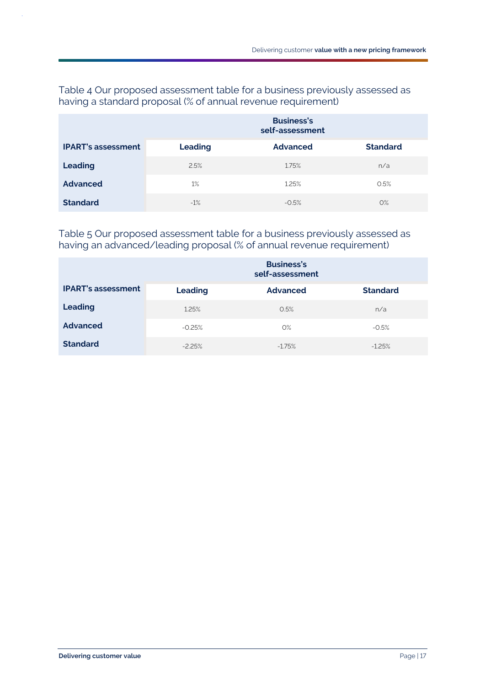#### <span id="page-19-0"></span>Table 4 Our proposed assessment table for a business previously assessed as having a standard proposal (% of annual revenue requirement)

|                           | <b>Business's</b><br>self-assessment |                 |                 |
|---------------------------|--------------------------------------|-----------------|-----------------|
| <b>IPART's assessment</b> | <b>Leading</b>                       | <b>Advanced</b> | <b>Standard</b> |
| <b>Leading</b>            | 2.5%                                 | 1.75%           | n/a             |
| <b>Advanced</b>           | 1%                                   | 1.25%           | 0.5%            |
| <b>Standard</b>           | $-1%$                                | $-0.5%$         | $O\%$           |

#### <span id="page-19-1"></span>Table 5 Our proposed assessment table for a business previously assessed as having an advanced/leading proposal (% of annual revenue requirement)

|                           | <b>Business's</b><br>self-assessment |                 |                 |
|---------------------------|--------------------------------------|-----------------|-----------------|
| <b>IPART's assessment</b> | <b>Leading</b>                       | <b>Advanced</b> | <b>Standard</b> |
| <b>Leading</b>            | 1.25%                                | 0.5%            | n/a             |
| <b>Advanced</b>           | $-0.25%$                             | $O\%$           | $-0.5%$         |
| <b>Standard</b>           | $-2.25%$                             | $-1.75%$        | $-1.25%$        |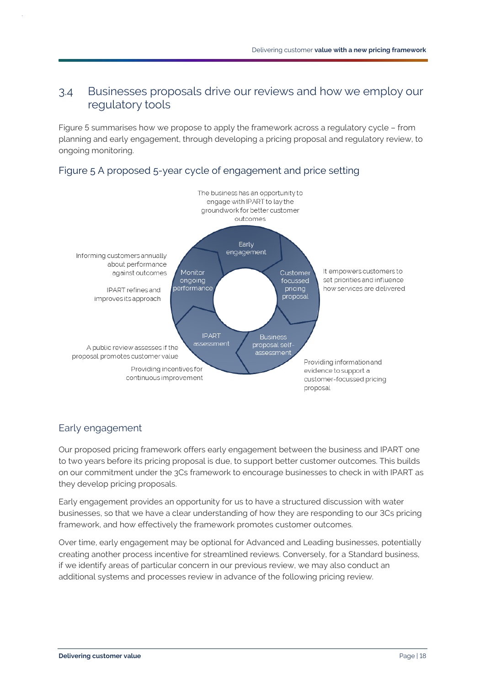# <span id="page-20-0"></span>3.4 Businesses proposals drive our reviews and how we employ our regulatory tools

[Figure 5](#page-20-1) summarises how we propose to apply the framework across a regulatory cycle – from planning and early engagement, through developing a pricing proposal and regulatory review, to ongoing monitoring.

#### <span id="page-20-1"></span>Figure 5 A proposed 5-year cycle of engagement and price setting



# Early engagement

Our proposed pricing framework offers early engagement between the business and IPART one to two years before its pricing proposal is due, to support better customer outcomes. This builds on our commitment under the 3Cs framework to encourage businesses to check in with IPART as they develop pricing proposals.

Early engagement provides an opportunity for us to have a structured discussion with water businesses, so that we have a clear understanding of how they are responding to our 3Cs pricing framework, and how effectively the framework promotes customer outcomes.

Over time, early engagement may be optional for Advanced and Leading businesses, potentially creating another process incentive for streamlined reviews. Conversely, for a Standard business, if we identify areas of particular concern in our previous review, we may also conduct an additional systems and processes review in advance of the following pricing review.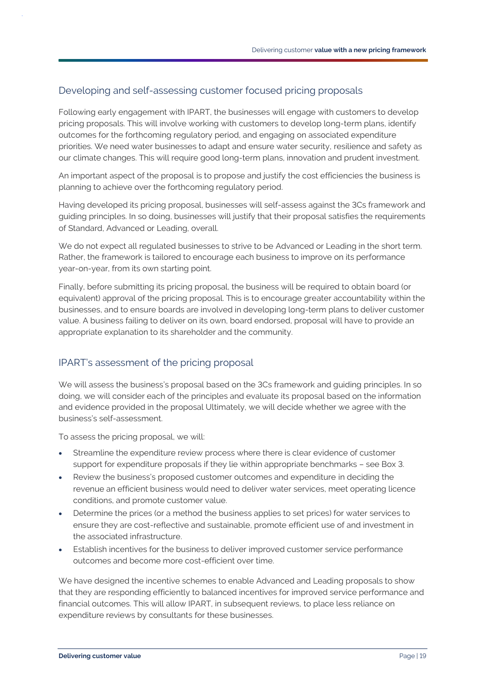#### Developing and self-assessing customer focused pricing proposals

Following early engagement with IPART, the businesses will engage with customers to develop pricing proposals. This will involve working with customers to develop long-term plans, identify outcomes for the forthcoming regulatory period, and engaging on associated expenditure priorities. We need water businesses to adapt and ensure water security, resilience and safety as our climate changes. This will require good long-term plans, innovation and prudent investment.

An important aspect of the proposal is to propose and justify the cost efficiencies the business is planning to achieve over the forthcoming regulatory period.

Having developed its pricing proposal, businesses will self-assess against the 3Cs framework and guiding principles. In so doing, businesses will justify that their proposal satisfies the requirements of Standard, Advanced or Leading, overall.

We do not expect all regulated businesses to strive to be Advanced or Leading in the short term. Rather, the framework is tailored to encourage each business to improve on its performance year-on-year, from its own starting point.

Finally, before submitting its pricing proposal, the business will be required to obtain board (or equivalent) approval of the pricing proposal. This is to encourage greater accountability within the businesses, and to ensure boards are involved in developing long-term plans to deliver customer value. A business failing to deliver on its own, board endorsed, proposal will have to provide an appropriate explanation to its shareholder and the community.

#### IPART's assessment of the pricing proposal

We will assess the business's proposal based on the 3Cs framework and guiding principles. In so doing, we will consider each of the principles and evaluate its proposal based on the information and evidence provided in the proposal Ultimately, we will decide whether we agree with the business's self-assessment.

To assess the pricing proposal, we will:

- Streamline the expenditure review process where there is clear evidence of customer support for expenditure proposals if they lie within appropriate benchmarks – see Box 3.
- Review the business's proposed customer outcomes and expenditure in deciding the revenue an efficient business would need to deliver water services, meet operating licence conditions, and promote customer value.
- Determine the prices (or a method the business applies to set prices) for water services to ensure they are cost-reflective and sustainable, promote efficient use of and investment in the associated infrastructure.
- Establish incentives for the business to deliver improved customer service performance outcomes and become more cost-efficient over time.

We have designed the incentive schemes to enable Advanced and Leading proposals to show that they are responding efficiently to balanced incentives for improved service performance and financial outcomes. This will allow IPART, in subsequent reviews, to place less reliance on expenditure reviews by consultants for these businesses.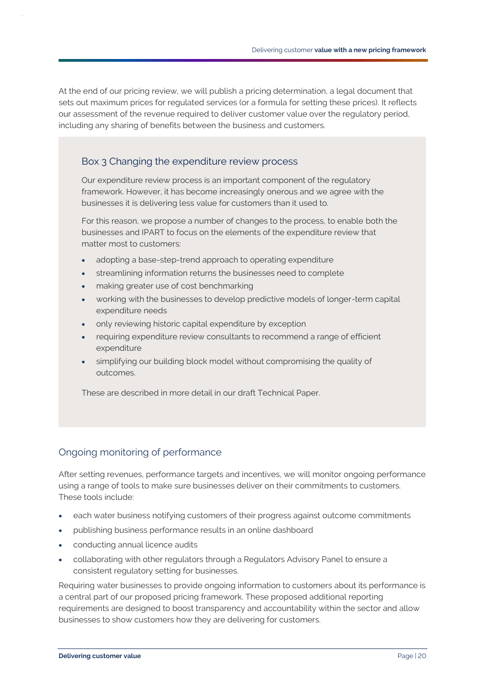At the end of our pricing review, we will publish a pricing determination, a legal document that sets out maximum prices for regulated services (or a formula for setting these prices). It reflects our assessment of the revenue required to deliver customer value over the regulatory period, including any sharing of benefits between the business and customers.

#### Box 3 Changing the expenditure review process

Our expenditure review process is an important component of the regulatory framework. However, it has become increasingly onerous and we agree with the businesses it is delivering less value for customers than it used to.

For this reason, we propose a number of changes to the process, to enable both the businesses and IPART to focus on the elements of the expenditure review that matter most to customers:

- adopting a base-step-trend approach to operating expenditure
- streamlining information returns the businesses need to complete
- making greater use of cost benchmarking
- working with the businesses to develop predictive models of longer-term capital expenditure needs
- only reviewing historic capital expenditure by exception
- requiring expenditure review consultants to recommend a range of efficient expenditure
- simplifying our building block model without compromising the quality of outcomes.

These are described in more detail in our draft Technical Paper.

#### Ongoing monitoring of performance

After setting revenues, performance targets and incentives, we will monitor ongoing performance using a range of tools to make sure businesses deliver on their commitments to customers. These tools include:

- each water business notifying customers of their progress against outcome commitments
- publishing business performance results in an online dashboard
- conducting annual licence audits
- collaborating with other regulators through a Regulators Advisory Panel to ensure a consistent regulatory setting for businesses.

Requiring water businesses to provide ongoing information to customers about its performance is a central part of our proposed pricing framework. These proposed additional reporting requirements are designed to boost transparency and accountability within the sector and allow businesses to show customers how they are delivering for customers.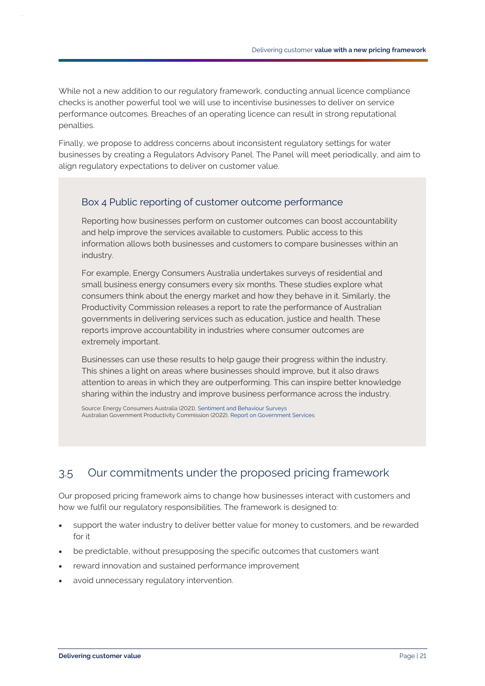While not a new addition to our regulatory framework, conducting annual licence compliance checks is another powerful tool we will use to incentivise businesses to deliver on service performance outcomes. Breaches of an operating licence can result in strong reputational penalties.

Finally, we propose to address concerns about inconsistent regulatory settings for water businesses by creating a Regulators Advisory Panel. The Panel will meet periodically, and aim to align regulatory expectations to deliver on customer value.

#### Box 4 Public reporting of customer outcome performance

Reporting how businesses perform on customer outcomes can boost accountability and help improve the services available to customers. Public access to this information allows both businesses and customers to compare businesses within an industry.

For example, Energy Consumers Australia undertakes surveys of residential and small business energy consumers every six months. These studies explore what consumers think about the energy market and how they behave in it. Similarly, the Productivity Commission releases a report to rate the performance of Australian governments in delivering services such as education, justice and health. These reports improve accountability in industries where consumer outcomes are extremely important.

Businesses can use these results to help gauge their progress within the industry. This shines a light on areas where businesses should improve, but it also draws attention to areas in which they are outperforming. This can inspire better knowledge sharing within the industry and improve business performance across the industry.

Source: Energy Consumers Australia (2021), Sentiment [and Behaviour Surveys](https://ecss.energyconsumersaustralia.com.au/) Australian Government Productivity Commission (2022), [Report on Government Services](https://www.pc.gov.au/research/ongoing/report-on-government-services)

# <span id="page-23-0"></span>3.5 Our commitments under the proposed pricing framework

Our proposed pricing framework aims to change how businesses interact with customers and how we fulfil our regulatory responsibilities. The framework is designed to:

- support the water industry to deliver better value for money to customers, and be rewarded for it
- be predictable, without presupposing the specific outcomes that customers want
- reward innovation and sustained performance improvement
- avoid unnecessary regulatory intervention.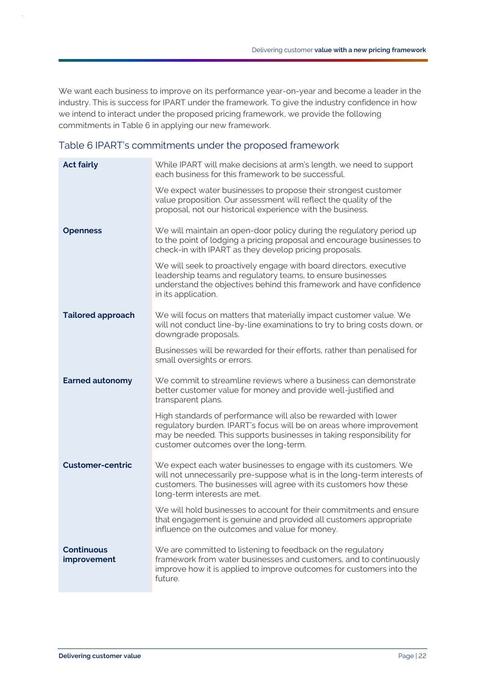We want each business to improve on its performance year-on-year and become a leader in the industry. This is success for IPART under the framework. To give the industry confidence in how we intend to interact under the proposed pricing framework, we provide the following commitments in [Table 6](#page-24-0) in applying our new framework.

#### <span id="page-24-0"></span>Table 6 IPART's commitments under the proposed framework

| <b>Act fairly</b>                | While IPART will make decisions at arm's length, we need to support<br>each business for this framework to be successful.                                                                                                                              |
|----------------------------------|--------------------------------------------------------------------------------------------------------------------------------------------------------------------------------------------------------------------------------------------------------|
|                                  | We expect water businesses to propose their strongest customer<br>value proposition. Our assessment will reflect the quality of the<br>proposal, not our historical experience with the business.                                                      |
| <b>Openness</b>                  | We will maintain an open-door policy during the regulatory period up<br>to the point of lodging a pricing proposal and encourage businesses to<br>check-in with IPART as they develop pricing proposals.                                               |
|                                  | We will seek to proactively engage with board directors, executive<br>leadership teams and regulatory teams, to ensure businesses<br>understand the objectives behind this framework and have confidence<br>in its application.                        |
| <b>Tailored approach</b>         | We will focus on matters that materially impact customer value. We<br>will not conduct line-by-line examinations to try to bring costs down, or<br>downgrade proposals.                                                                                |
|                                  | Businesses will be rewarded for their efforts, rather than penalised for<br>small oversights or errors.                                                                                                                                                |
| <b>Earned autonomy</b>           | We commit to streamline reviews where a business can demonstrate<br>better customer value for money and provide well-justified and<br>transparent plans.                                                                                               |
|                                  | High standards of performance will also be rewarded with lower<br>regulatory burden. IPART's focus will be on areas where improvement<br>may be needed. This supports businesses in taking responsibility for<br>customer outcomes over the long-term. |
| <b>Customer-centric</b>          | We expect each water businesses to engage with its customers. We<br>will not unnecessarily pre-suppose what is in the long-term interests of<br>customers. The businesses will agree with its customers how these<br>long-term interests are met.      |
|                                  | We will hold businesses to account for their commitments and ensure<br>that engagement is genuine and provided all customers appropriate<br>influence on the outcomes and value for money.                                                             |
| <b>Continuous</b><br>improvement | We are committed to listening to feedback on the regulatory<br>framework from water businesses and customers, and to continuously<br>improve how it is applied to improve outcomes for customers into the<br>future.                                   |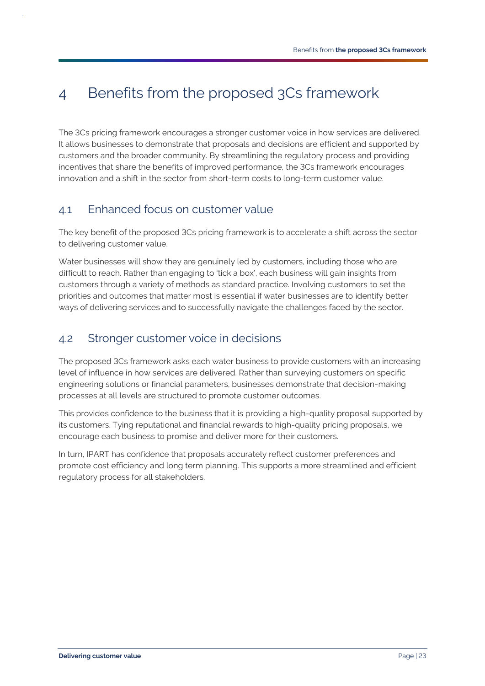# <span id="page-25-0"></span>4 Benefits from the proposed 3Cs framework

The 3Cs pricing framework encourages a stronger customer voice in how services are delivered. It allows businesses to demonstrate that proposals and decisions are efficient and supported by customers and the broader community. By streamlining the regulatory process and providing incentives that share the benefits of improved performance, the 3Cs framework encourages innovation and a shift in the sector from short-term costs to long-term customer value.

# <span id="page-25-1"></span>4.1 Enhanced focus on customer value

The key benefit of the proposed 3Cs pricing framework is to accelerate a shift across the sector to delivering customer value.

Water businesses will show they are genuinely led by customers, including those who are difficult to reach. Rather than engaging to 'tick a box', each business will gain insights from customers through a variety of methods as standard practice. Involving customers to set the priorities and outcomes that matter most is essential if water businesses are to identify better ways of delivering services and to successfully navigate the challenges faced by the sector.

# <span id="page-25-2"></span>4.2 Stronger customer voice in decisions

The proposed 3Cs framework asks each water business to provide customers with an increasing level of influence in how services are delivered. Rather than surveying customers on specific engineering solutions or financial parameters, businesses demonstrate that decision-making processes at all levels are structured to promote customer outcomes.

This provides confidence to the business that it is providing a high-quality proposal supported by its customers. Tying reputational and financial rewards to high-quality pricing proposals, we encourage each business to promise and deliver more for their customers.

In turn, IPART has confidence that proposals accurately reflect customer preferences and promote cost efficiency and long term planning. This supports a more streamlined and efficient regulatory process for all stakeholders.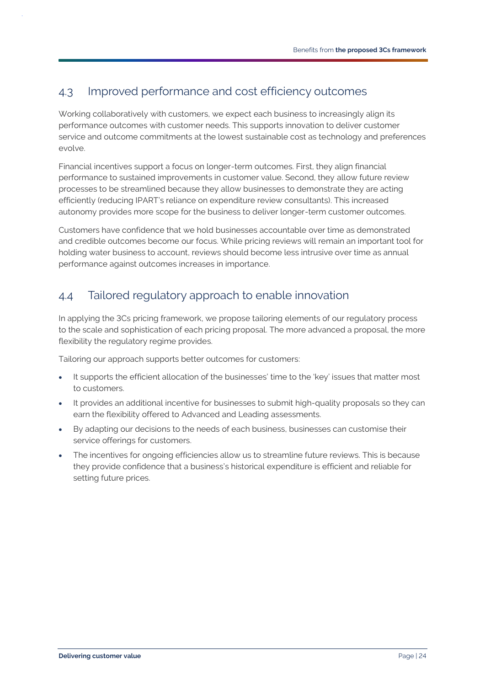# <span id="page-26-0"></span>4.3 Improved performance and cost efficiency outcomes

Working collaboratively with customers, we expect each business to increasingly align its performance outcomes with customer needs. This supports innovation to deliver customer service and outcome commitments at the lowest sustainable cost as technology and preferences evolve.

Financial incentives support a focus on longer-term outcomes. First, they align financial performance to sustained improvements in customer value. Second, they allow future review processes to be streamlined because they allow businesses to demonstrate they are acting efficiently (reducing IPART's reliance on expenditure review consultants). This increased autonomy provides more scope for the business to deliver longer-term customer outcomes.

Customers have confidence that we hold businesses accountable over time as demonstrated and credible outcomes become our focus. While pricing reviews will remain an important tool for holding water business to account, reviews should become less intrusive over time as annual performance against outcomes increases in importance.

# <span id="page-26-1"></span>4.4 Tailored regulatory approach to enable innovation

In applying the 3Cs pricing framework, we propose tailoring elements of our regulatory process to the scale and sophistication of each pricing proposal. The more advanced a proposal, the more flexibility the regulatory regime provides.

Tailoring our approach supports better outcomes for customers:

- It supports the efficient allocation of the businesses' time to the 'key' issues that matter most to customers.
- It provides an additional incentive for businesses to submit high-quality proposals so they can earn the flexibility offered to Advanced and Leading assessments.
- By adapting our decisions to the needs of each business, businesses can customise their service offerings for customers.
- The incentives for ongoing efficiencies allow us to streamline future reviews. This is because they provide confidence that a business's historical expenditure is efficient and reliable for setting future prices.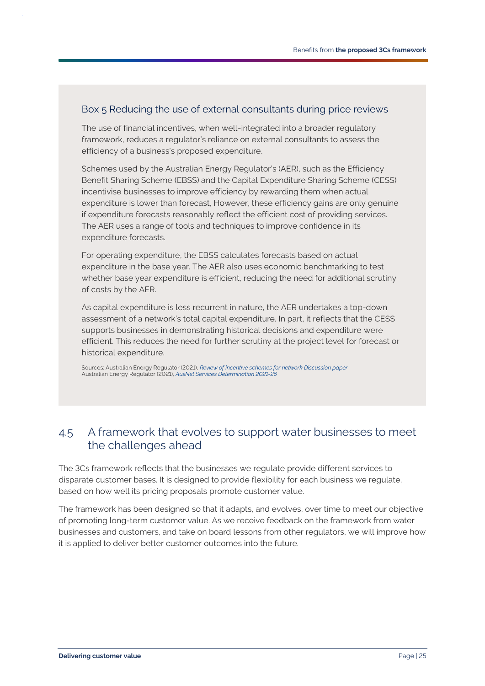#### Box 5 Reducing the use of external consultants during price reviews

The use of financial incentives, when well-integrated into a broader regulatory framework, reduces a regulator's reliance on external consultants to assess the efficiency of a business's proposed expenditure.

Schemes used by the Australian Energy Regulator's (AER), such as the Efficiency Benefit Sharing Scheme (EBSS) and the Capital Expenditure Sharing Scheme (CESS) incentivise businesses to improve efficiency by rewarding them when actual expenditure is lower than forecast, However, these efficiency gains are only genuine if expenditure forecasts reasonably reflect the efficient cost of providing services. The AER uses a range of tools and techniques to improve confidence in its expenditure forecasts.

For operating expenditure, the EBSS calculates forecasts based on actual expenditure in the base year. The AER also uses economic benchmarking to test whether base year expenditure is efficient, reducing the need for additional scrutiny of costs by the AER.

As capital expenditure is less recurrent in nature, the AER undertakes a top-down assessment of a network's total capital expenditure. In part, it reflects that the CESS supports businesses in demonstrating historical decisions and expenditure were efficient. This reduces the need for further scrutiny at the project level for forecast or historical expenditure.

Sources: Australian Energy Regulator (2021), *[Review of incentive schemes for network Discussion paper](https://www.aer.gov.au/system/files/AER%20-%20Review%20of%20expenditure%20incentive%20schemes%20-%20discussion%20paper%20-%20%20December%202021.pdf)* Australian Energy Regulator (2021), *[AusNet Services Determination 2021-26](https://www.aer.gov.au/networks-pipelines/determinations-access-arrangements/ausnet-services-determination-2021-26/final-decision)*

# <span id="page-27-0"></span>4.5 A framework that evolves to support water businesses to meet the challenges ahead

The 3Cs framework reflects that the businesses we regulate provide different services to disparate customer bases. It is designed to provide flexibility for each business we regulate, based on how well its pricing proposals promote customer value.

The framework has been designed so that it adapts, and evolves, over time to meet our objective of promoting long-term customer value. As we receive feedback on the framework from water businesses and customers, and take on board lessons from other regulators, we will improve how it is applied to deliver better customer outcomes into the future.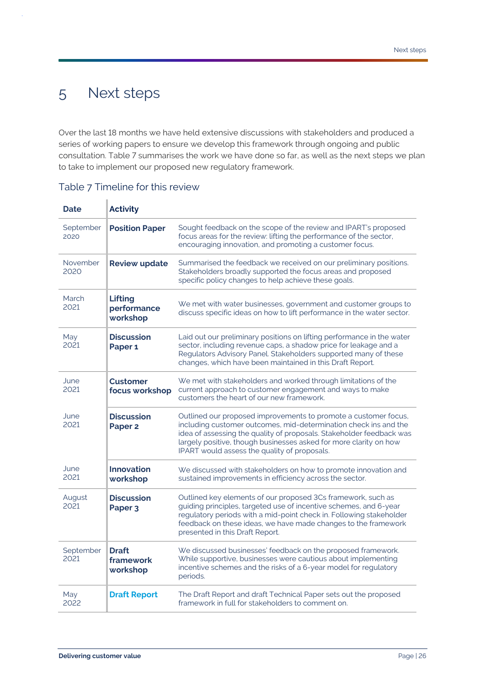# <span id="page-28-0"></span>5 Next steps

Over the last 18 months we have held extensive discussions with stakeholders and produced a series of working papers to ensure we develop this framework through ongoing and public consultation. [Table 7](#page-28-1) summarises the work we have done so far, as well as the next steps we plan to take to implement our proposed new regulatory framework.

| <b>Date</b>       | <b>Activity</b>                           |                                                                                                                                                                                                                                                                                                                                  |
|-------------------|-------------------------------------------|----------------------------------------------------------------------------------------------------------------------------------------------------------------------------------------------------------------------------------------------------------------------------------------------------------------------------------|
| September<br>2020 | <b>Position Paper</b>                     | Sought feedback on the scope of the review and IPART's proposed<br>focus areas for the review: lifting the performance of the sector,<br>encouraging innovation, and promoting a customer focus.                                                                                                                                 |
| November<br>2020  | <b>Review update</b>                      | Summarised the feedback we received on our preliminary positions.<br>Stakeholders broadly supported the focus areas and proposed<br>specific policy changes to help achieve these goals.                                                                                                                                         |
| March<br>2021     | <b>Lifting</b><br>performance<br>workshop | We met with water businesses, government and customer groups to<br>discuss specific ideas on how to lift performance in the water sector.                                                                                                                                                                                        |
| May<br>2021       | <b>Discussion</b><br>Paper <sub>1</sub>   | Laid out our preliminary positions on lifting performance in the water<br>sector, including revenue caps, a shadow price for leakage and a<br>Regulators Advisory Panel. Stakeholders supported many of these<br>changes, which have been maintained in this Draft Report.                                                       |
| June<br>2021      | <b>Customer</b><br>focus workshop         | We met with stakeholders and worked through limitations of the<br>current approach to customer engagement and ways to make<br>customers the heart of our new framework.                                                                                                                                                          |
| June<br>2021      | <b>Discussion</b><br>Paper <sub>2</sub>   | Outlined our proposed improvements to promote a customer focus,<br>including customer outcomes, mid-determination check ins and the<br>idea of assessing the quality of proposals. Stakeholder feedback was<br>largely positive, though businesses asked for more clarity on how<br>IPART would assess the quality of proposals. |
| June<br>2021      | <b>Innovation</b><br>workshop             | We discussed with stakeholders on how to promote innovation and<br>sustained improvements in efficiency across the sector.                                                                                                                                                                                                       |
| August<br>2021    | <b>Discussion</b><br>Paper <sub>3</sub>   | Outlined key elements of our proposed 3Cs framework, such as<br>guiding principles, targeted use of incentive schemes, and 6-year<br>regulatory periods with a mid-point check in. Following stakeholder<br>feedback on these ideas, we have made changes to the framework<br>presented in this Draft Report.                    |
| September<br>2021 | <b>Draft</b><br>framework<br>workshop     | We discussed businesses' feedback on the proposed framework.<br>While supportive, businesses were cautious about implementing<br>incentive schemes and the risks of a 6-year model for regulatory<br>periods.                                                                                                                    |
| May<br>2022       | <b>Draft Report</b>                       | The Draft Report and draft Technical Paper sets out the proposed<br>framework in full for stakeholders to comment on.                                                                                                                                                                                                            |

#### <span id="page-28-1"></span>Table 7 Timeline for this review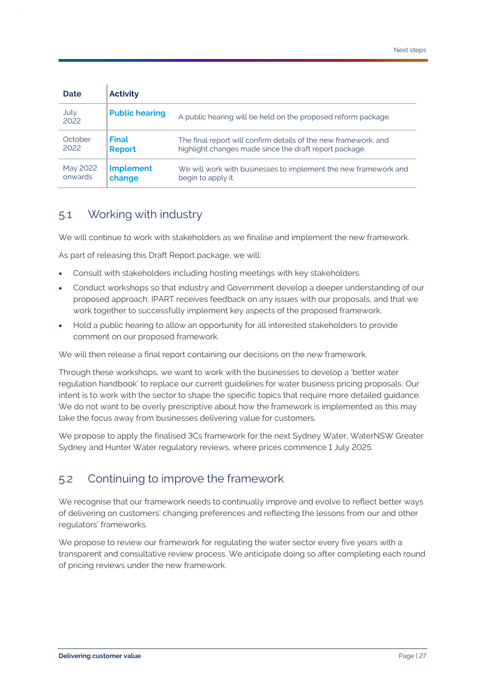| Date         | <b>Activity</b>       |                                                                 |
|--------------|-----------------------|-----------------------------------------------------------------|
| July<br>2022 | <b>Public hearing</b> | A public hearing will be held on the proposed reform package.   |
| October      | <b>Final</b>          | The final report will confirm details of the new framework, and |
| 2022         | <b>Report</b>         | highlight changes made since the draft report package.          |
| May 2022     | <b>Implement</b>      | We will work with businesses to implement the new framework and |
| onwards      | change                | begin to apply it.                                              |

# <span id="page-29-0"></span>5.1 Working with industry

We will continue to work with stakeholders as we finalise and implement the new framework.

As part of releasing this Draft Report package, we will:

- Consult with stakeholders including hosting meetings with key stakeholders.
- Conduct workshops so that industry and Government develop a deeper understanding of our proposed approach, IPART receives feedback on any issues with our proposals, and that we work together to successfully implement key aspects of the proposed framework.
- Hold a public hearing to allow an opportunity for all interested stakeholders to provide comment on our proposed framework.

We will then release a final report containing our decisions on the new framework.

Through these workshops, we want to work with the businesses to develop a 'better water regulation handbook' to replace our current guidelines for water business pricing proposals. Our intent is to work with the sector to shape the specific topics that require more detailed guidance. We do not want to be overly prescriptive about how the framework is implemented as this may take the focus away from businesses delivering value for customers.

We propose to apply the finalised 3Cs framework for the next Sydney Water, WaterNSW Greater Sydney and Hunter Water regulatory reviews, where prices commence 1 July 2025.

# <span id="page-29-1"></span>5.2 Continuing to improve the framework

We recognise that our framework needs to continually improve and evolve to reflect better ways of delivering on customers' changing preferences and reflecting the lessons from our and other regulators' frameworks.

We propose to review our framework for regulating the water sector every five years with a transparent and consultative review process. We anticipate doing so after completing each round of pricing reviews under the new framework.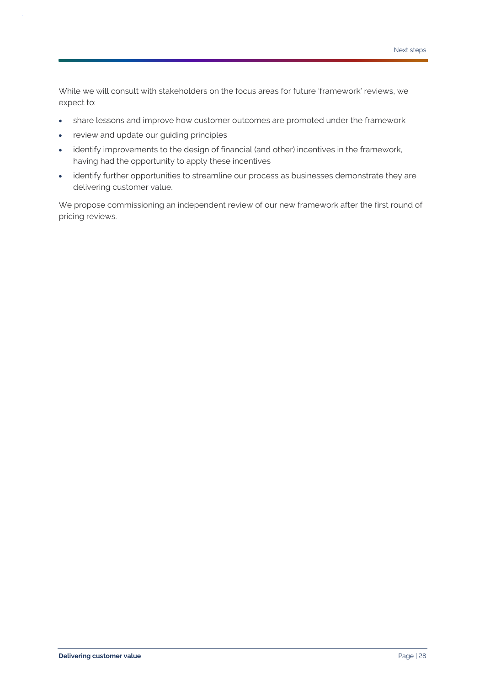While we will consult with stakeholders on the focus areas for future 'framework' reviews, we expect to:

- share lessons and improve how customer outcomes are promoted under the framework
- review and update our guiding principles
- identify improvements to the design of financial (and other) incentives in the framework, having had the opportunity to apply these incentives
- identify further opportunities to streamline our process as businesses demonstrate they are delivering customer value.

We propose commissioning an independent review of our new framework after the first round of pricing reviews.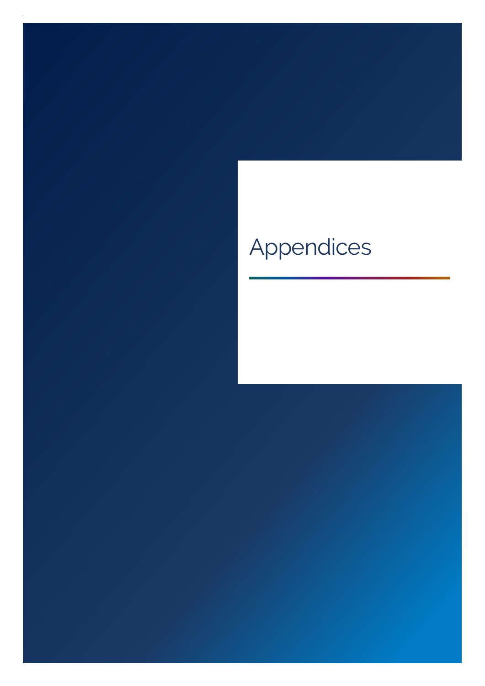# Appendices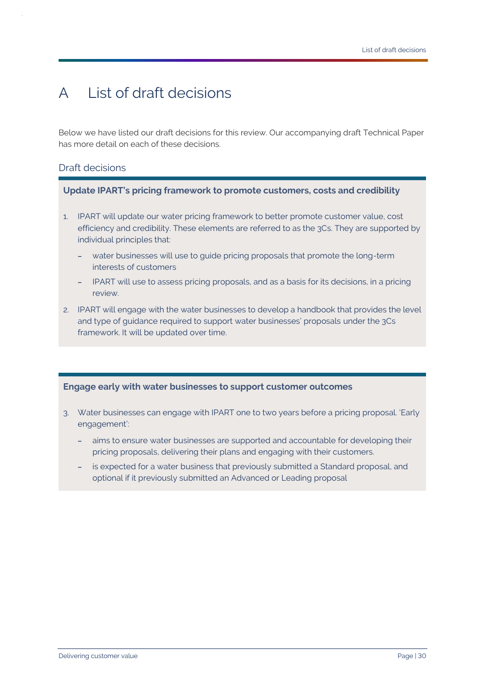# <span id="page-32-0"></span>A List of draft decisions

Below we have listed our draft decisions for this review. Our accompanying draft Technical Paper has more detail on each of these decisions.

#### Draft decisions

**Update IPART's pricing framework to promote customers, costs and credibility**

- 1. IPART will update our water pricing framework to better promote customer value, cost efficiency and credibility. These elements are referred to as the 3Cs. They are supported by individual principles that:
	- water businesses will use to guide pricing proposals that promote the long-term interests of customers
	- IPART will use to assess pricing proposals, and as a basis for its decisions, in a pricing review.
- 2. IPART will engage with the water businesses to develop a handbook that provides the level and type of guidance required to support water businesses' proposals under the 3Cs framework. It will be updated over time.

#### **Engage early with water businesses to support customer outcomes**

- 3. Water businesses can engage with IPART one to two years before a pricing proposal. 'Early engagement':
	- aims to ensure water businesses are supported and accountable for developing their pricing proposals, delivering their plans and engaging with their customers.
	- is expected for a water business that previously submitted a Standard proposal, and optional if it previously submitted an Advanced or Leading proposal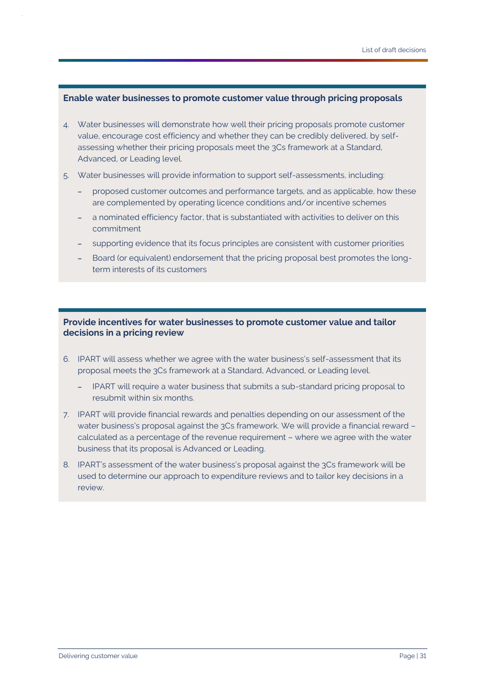#### **Enable water businesses to promote customer value through pricing proposals**

- 4. Water businesses will demonstrate how well their pricing proposals promote customer value, encourage cost efficiency and whether they can be credibly delivered, by selfassessing whether their pricing proposals meet the 3Cs framework at a Standard, Advanced, or Leading level.
- 5. Water businesses will provide information to support self-assessments, including:
	- proposed customer outcomes and performance targets, and as applicable, how these are complemented by operating licence conditions and/or incentive schemes
	- a nominated efficiency factor, that is substantiated with activities to deliver on this commitment
	- supporting evidence that its focus principles are consistent with customer priorities
	- Board (or equivalent) endorsement that the pricing proposal best promotes the longterm interests of its customers

#### **Provide incentives for water businesses to promote customer value and tailor decisions in a pricing review**

- 6. IPART will assess whether we agree with the water business's self-assessment that its proposal meets the 3Cs framework at a Standard, Advanced, or Leading level.
	- IPART will require a water business that submits a sub-standard pricing proposal to resubmit within six months.
- 7. IPART will provide financial rewards and penalties depending on our assessment of the water business's proposal against the 3Cs framework. We will provide a financial reward calculated as a percentage of the revenue requirement – where we agree with the water business that its proposal is Advanced or Leading.
- 8. IPART's assessment of the water business's proposal against the 3Cs framework will be used to determine our approach to expenditure reviews and to tailor key decisions in a review.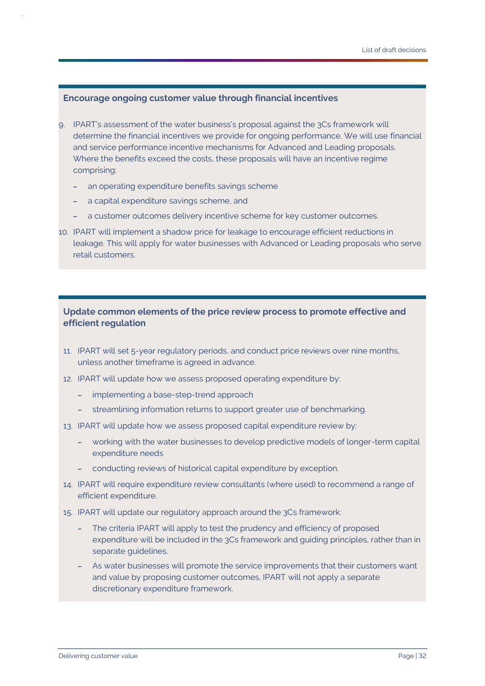#### **Encourage ongoing customer value through financial incentives**

- 9. IPART's assessment of the water business's proposal against the 3Cs framework will determine the financial incentives we provide for ongoing performance. We will use financial and service performance incentive mechanisms for Advanced and Leading proposals. Where the benefits exceed the costs, these proposals will have an incentive regime comprising:
	- an operating expenditure benefits savings scheme
	- a capital expenditure savings scheme, and
	- a customer outcomes delivery incentive scheme for key customer outcomes.
- 10. IPART will implement a shadow price for leakage to encourage efficient reductions in leakage. This will apply for water businesses with Advanced or Leading proposals who serve retail customers.

#### **Update common elements of the price review process to promote effective and efficient regulation**

- 11. IPART will set 5-year regulatory periods, and conduct price reviews over nine months, unless another timeframe is agreed in advance.
- 12. IPART will update how we assess proposed operating expenditure by:
	- implementing a base-step-trend approach
	- streamlining information returns to support greater use of benchmarking.
- 13. IPART will update how we assess proposed capital expenditure review by:
	- working with the water businesses to develop predictive models of longer-term capital expenditure needs
	- conducting reviews of historical capital expenditure by exception.
- 14. IPART will require expenditure review consultants (where used) to recommend a range of efficient expenditure.
- 15. IPART will update our regulatory approach around the 3Cs framework:
	- The criteria IPART will apply to test the prudency and efficiency of proposed expenditure will be included in the 3Cs framework and guiding principles, rather than in separate guidelines.
	- As water businesses will promote the service improvements that their customers want and value by proposing customer outcomes, IPART will not apply a separate discretionary expenditure framework.